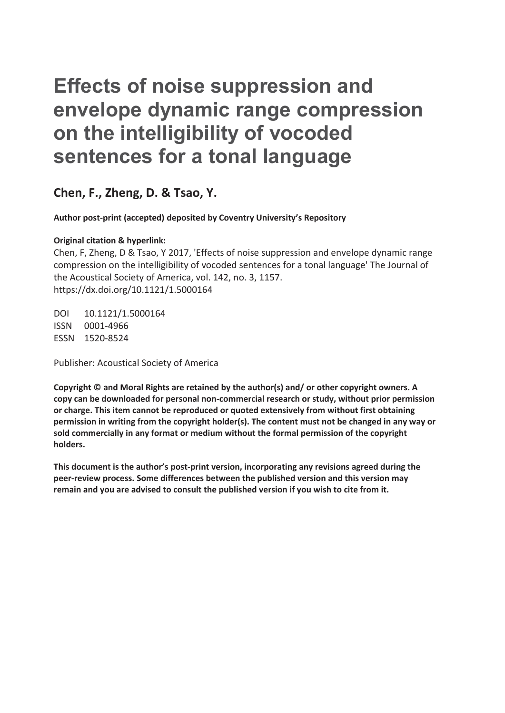# **Effects of noise suppression and envelope dynamic range compression on the intelligibility of vocoded sentences for a tonal language**

**Chen, F., Zheng, D. & Tsao, Y.** 

**Author post-print (accepted) deposited by Coventry University's Repository** 

### **Original citation & hyperlink:**

Chen, F, Zheng, D & Tsao, Y 2017, 'Effects of noise suppression and envelope dynamic range compression on the intelligibility of vocoded sentences for a tonal language' The Journal of the Acoustical Society of America, vol. 142, no. 3, 1157. https://dx.doi.org/10.1121/1.5000164

DOI 10.1121/1.5000164 ISSN 0001-4966 ESSN 1520-8524

Publisher: Acoustical Society of America

**Copyright © and Moral Rights are retained by the author(s) and/ or other copyright owners. A copy can be downloaded for personal non-commercial research or study, without prior permission or charge. This item cannot be reproduced or quoted extensively from without first obtaining permission in writing from the copyright holder(s). The content must not be changed in any way or sold commercially in any format or medium without the formal permission of the copyright holders.** 

**This document is the author's post-print version, incorporating any revisions agreed during the peer-review process. Some differences between the published version and this version may remain and you are advised to consult the published version if you wish to cite from it.**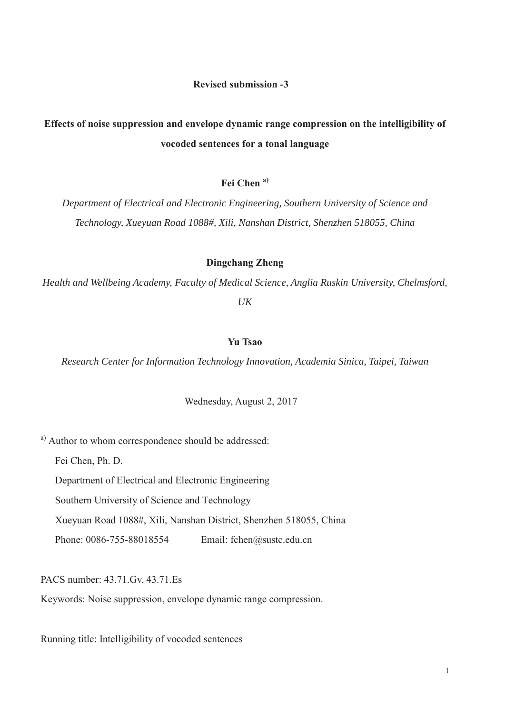# **Effects of noise suppression and envelope dynamic range compression on the intelligibility of vocoded sentences for a tonal language**

## **Fei Chen a)**

*Department of Electrical and Electronic Engineering, Southern University of Science and Technology, Xueyuan Road 1088#, Xili, Nanshan District, Shenzhen 518055, China*

### **Dingchang Zheng**

*Health and Wellbeing Academy, Faculty of Medical Science, Anglia Ruskin University, Chelmsford, UK*

### **Yu Tsao**

*Research Center for Information Technology Innovation, Academia Sinica, Taipei, Taiwan*

Wednesday, August 2, 2017

a) Author to whom correspondence should be addressed:

Fei Chen, Ph. D.

Department of Electrical and Electronic Engineering

Southern University of Science and Technology

Xueyuan Road 1088#, Xili, Nanshan District, Shenzhen 518055, China

Phone: 0086-755-88018554 Email: fchen@sustc.edu.cn

PACS number: 43.71.Gv, 43.71.Es

Keywords: Noise suppression, envelope dynamic range compression.

Running title: Intelligibility of vocoded sentences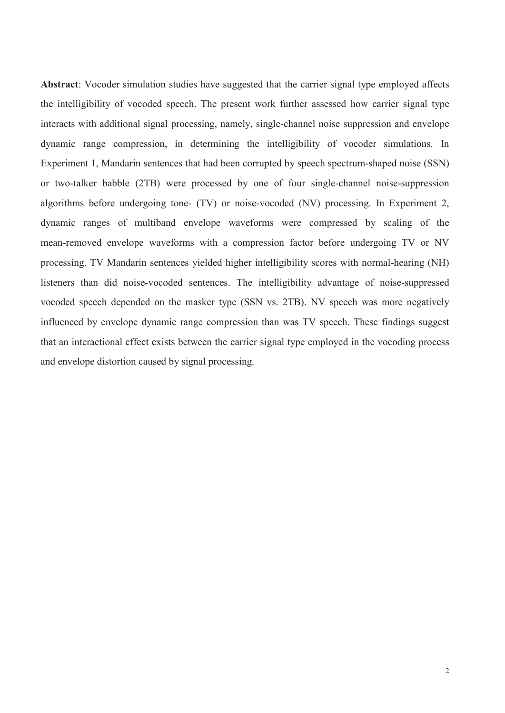**Abstract**: Vocoder simulation studies have suggested that the carrier signal type employed affects the intelligibility of vocoded speech. The present work further assessed how carrier signal type interacts with additional signal processing, namely, single-channel noise suppression and envelope dynamic range compression, in determining the intelligibility of vocoder simulations. In Experiment 1, Mandarin sentences that had been corrupted by speech spectrum-shaped noise (SSN) or two-talker babble (2TB) were processed by one of four single-channel noise-suppression algorithms before undergoing tone- (TV) or noise-vocoded (NV) processing. In Experiment 2, dynamic ranges of multiband envelope waveforms were compressed by scaling of the mean-removed envelope waveforms with a compression factor before undergoing TV or NV processing. TV Mandarin sentences yielded higher intelligibility scores with normal-hearing (NH) listeners than did noise-vocoded sentences. The intelligibility advantage of noise-suppressed vocoded speech depended on the masker type (SSN vs. 2TB). NV speech was more negatively influenced by envelope dynamic range compression than was TV speech. These findings suggest that an interactional effect exists between the carrier signal type employed in the vocoding process and envelope distortion caused by signal processing.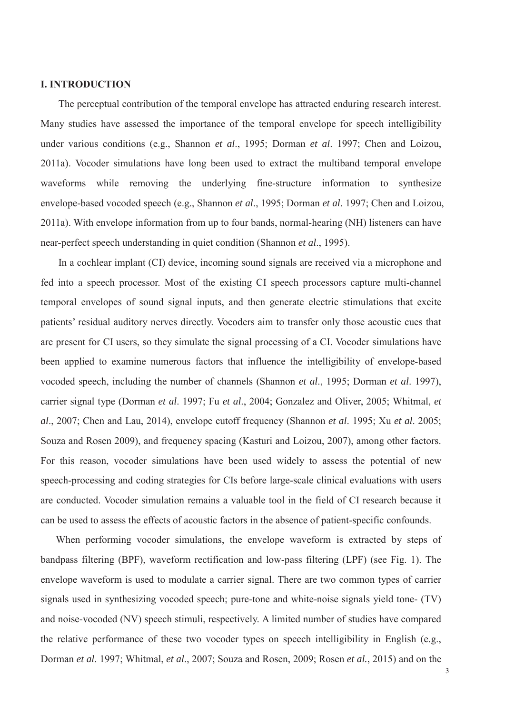### **I. INTRODUCTION**

The perceptual contribution of the temporal envelope has attracted enduring research interest. Many studies have assessed the importance of the temporal envelope for speech intelligibility under various conditions (e.g., Shannon *et al*., 1995; Dorman *et al*. 1997; Chen and Loizou, 2011a). Vocoder simulations have long been used to extract the multiband temporal envelope waveforms while removing the underlying fine-structure information to synthesize envelope-based vocoded speech (e.g., Shannon *et al*., 1995; Dorman *et al*. 1997; Chen and Loizou, 2011a). With envelope information from up to four bands, normal-hearing (NH) listeners can have near-perfect speech understanding in quiet condition (Shannon *et al*., 1995).

In a cochlear implant (CI) device, incoming sound signals are received via a microphone and fed into a speech processor. Most of the existing CI speech processors capture multi-channel temporal envelopes of sound signal inputs, and then generate electric stimulations that excite patients' residual auditory nerves directly. Vocoders aim to transfer only those acoustic cues that are present for CI users, so they simulate the signal processing of a CI. Vocoder simulations have been applied to examine numerous factors that influence the intelligibility of envelope-based vocoded speech, including the number of channels (Shannon *et al*., 1995; Dorman *et al*. 1997), carrier signal type (Dorman *et al*. 1997; Fu *et al*., 2004; Gonzalez and Oliver, 2005; Whitmal, *et al*., 2007; Chen and Lau, 2014), envelope cutoff frequency (Shannon *et al*. 1995; Xu *et al*. 2005; Souza and Rosen 2009), and frequency spacing (Kasturi and Loizou, 2007), among other factors. For this reason, vocoder simulations have been used widely to assess the potential of new speech-processing and coding strategies for CIs before large-scale clinical evaluations with users are conducted. Vocoder simulation remains a valuable tool in the field of CI research because it can be used to assess the effects of acoustic factors in the absence of patient-specific confounds.

When performing vocoder simulations, the envelope waveform is extracted by steps of bandpass filtering (BPF), waveform rectification and low-pass filtering (LPF) (see Fig. 1). The envelope waveform is used to modulate a carrier signal. There are two common types of carrier signals used in synthesizing vocoded speech; pure-tone and white-noise signals yield tone- (TV) and noise-vocoded (NV) speech stimuli, respectively. A limited number of studies have compared the relative performance of these two vocoder types on speech intelligibility in English (e.g., Dorman *et al*. 1997; Whitmal, *et al*., 2007; Souza and Rosen, 2009; Rosen *et al.*, 2015) and on the

3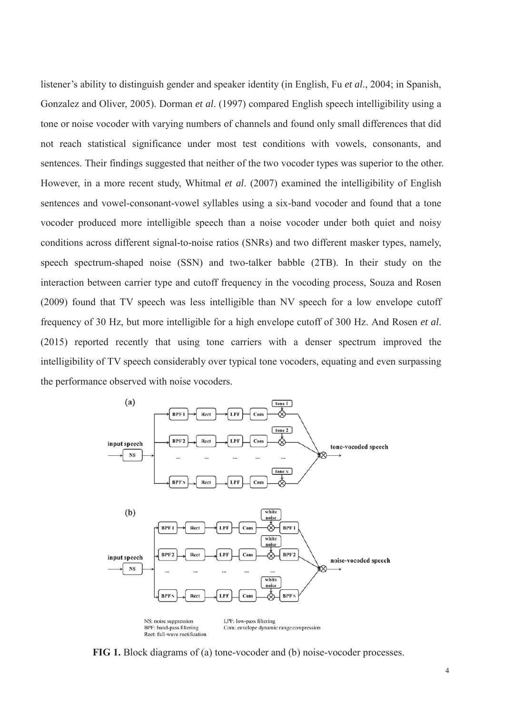listener's ability to distinguish gender and speaker identity (in English, Fu *et al*., 2004; in Spanish, Gonzalez and Oliver, 2005). Dorman *et al*. (1997) compared English speech intelligibility using a tone or noise vocoder with varying numbers of channels and found only small differences that did not reach statistical significance under most test conditions with vowels, consonants, and sentences. Their findings suggested that neither of the two vocoder types was superior to the other. However, in a more recent study, Whitmal *et al*. (2007) examined the intelligibility of English sentences and vowel-consonant-vowel syllables using a six-band vocoder and found that a tone vocoder produced more intelligible speech than a noise vocoder under both quiet and noisy conditions across different signal-to-noise ratios (SNRs) and two different masker types, namely, speech spectrum-shaped noise (SSN) and two-talker babble (2TB). In their study on the interaction between carrier type and cutoff frequency in the vocoding process, Souza and Rosen (2009) found that TV speech was less intelligible than NV speech for a low envelope cutoff frequency of 30 Hz, but more intelligible for a high envelope cutoff of 300 Hz. And Rosen *et al*. (2015) reported recently that using tone carriers with a denser spectrum improved the intelligibility of TV speech considerably over typical tone vocoders, equating and even surpassing the performance observed with noise vocoders.



**FIG 1.** Block diagrams of (a) tone-vocoder and (b) noise-vocoder processes.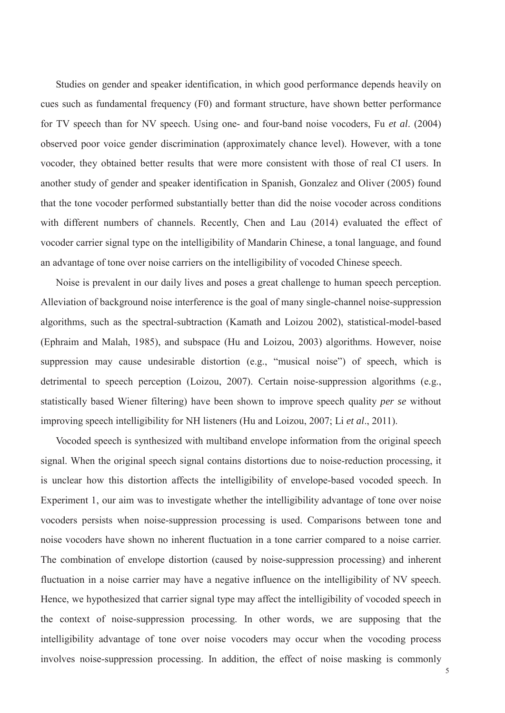Studies on gender and speaker identification, in which good performance depends heavily on cues such as fundamental frequency (F0) and formant structure, have shown better performance for TV speech than for NV speech. Using one- and four-band noise vocoders, Fu *et al*. (2004) observed poor voice gender discrimination (approximately chance level). However, with a tone vocoder, they obtained better results that were more consistent with those of real CI users. In another study of gender and speaker identification in Spanish, Gonzalez and Oliver (2005) found that the tone vocoder performed substantially better than did the noise vocoder across conditions with different numbers of channels. Recently, Chen and Lau (2014) evaluated the effect of vocoder carrier signal type on the intelligibility of Mandarin Chinese, a tonal language, and found an advantage of tone over noise carriers on the intelligibility of vocoded Chinese speech.

Noise is prevalent in our daily lives and poses a great challenge to human speech perception. Alleviation of background noise interference is the goal of many single-channel noise-suppression algorithms, such as the spectral-subtraction (Kamath and Loizou 2002), statistical-model-based (Ephraim and Malah, 1985), and subspace (Hu and Loizou, 2003) algorithms. However, noise suppression may cause undesirable distortion (e.g., "musical noise") of speech, which is detrimental to speech perception (Loizou, 2007). Certain noise-suppression algorithms (e.g., statistically based Wiener filtering) have been shown to improve speech quality *per se* without improving speech intelligibility for NH listeners (Hu and Loizou, 2007; Li *et al*., 2011).

Vocoded speech is synthesized with multiband envelope information from the original speech signal. When the original speech signal contains distortions due to noise-reduction processing, it is unclear how this distortion affects the intelligibility of envelope-based vocoded speech. In Experiment 1, our aim was to investigate whether the intelligibility advantage of tone over noise vocoders persists when noise-suppression processing is used. Comparisons between tone and noise vocoders have shown no inherent fluctuation in a tone carrier compared to a noise carrier. The combination of envelope distortion (caused by noise-suppression processing) and inherent fluctuation in a noise carrier may have a negative influence on the intelligibility of NV speech. Hence, we hypothesized that carrier signal type may affect the intelligibility of vocoded speech in the context of noise-suppression processing. In other words, we are supposing that the intelligibility advantage of tone over noise vocoders may occur when the vocoding process involves noise-suppression processing. In addition, the effect of noise masking is commonly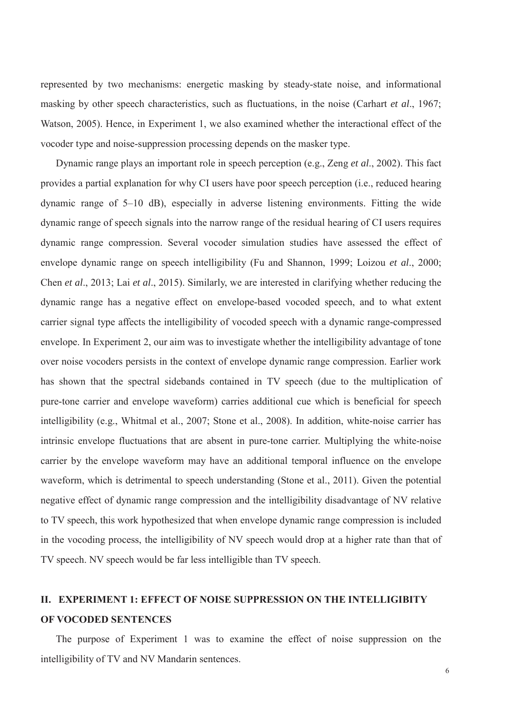represented by two mechanisms: energetic masking by steady-state noise, and informational masking by other speech characteristics, such as fluctuations, in the noise (Carhart *et al*., 1967; Watson, 2005). Hence, in Experiment 1, we also examined whether the interactional effect of the vocoder type and noise-suppression processing depends on the masker type.

Dynamic range plays an important role in speech perception (e.g., Zeng *et al*., 2002). This fact provides a partial explanation for why CI users have poor speech perception (i.e., reduced hearing dynamic range of 5–10 dB), especially in adverse listening environments. Fitting the wide dynamic range of speech signals into the narrow range of the residual hearing of CI users requires dynamic range compression. Several vocoder simulation studies have assessed the effect of envelope dynamic range on speech intelligibility (Fu and Shannon, 1999; Loizou *et al*., 2000; Chen *et al*., 2013; Lai *et al*., 2015). Similarly, we are interested in clarifying whether reducing the dynamic range has a negative effect on envelope-based vocoded speech, and to what extent carrier signal type affects the intelligibility of vocoded speech with a dynamic range-compressed envelope. In Experiment 2, our aim was to investigate whether the intelligibility advantage of tone over noise vocoders persists in the context of envelope dynamic range compression. Earlier work has shown that the spectral sidebands contained in TV speech (due to the multiplication of pure-tone carrier and envelope waveform) carries additional cue which is beneficial for speech intelligibility (e.g., Whitmal et al., 2007; Stone et al., 2008). In addition, white-noise carrier has intrinsic envelope fluctuations that are absent in pure-tone carrier. Multiplying the white-noise carrier by the envelope waveform may have an additional temporal influence on the envelope waveform, which is detrimental to speech understanding (Stone et al., 2011). Given the potential negative effect of dynamic range compression and the intelligibility disadvantage of NV relative to TV speech, this work hypothesized that when envelope dynamic range compression is included in the vocoding process, the intelligibility of NV speech would drop at a higher rate than that of TV speech. NV speech would be far less intelligible than TV speech.

# **II. EXPERIMENT 1: EFFECT OF NOISE SUPPRESSION ON THE INTELLIGIBITY OF VOCODED SENTENCES**

The purpose of Experiment 1 was to examine the effect of noise suppression on the intelligibility of TV and NV Mandarin sentences.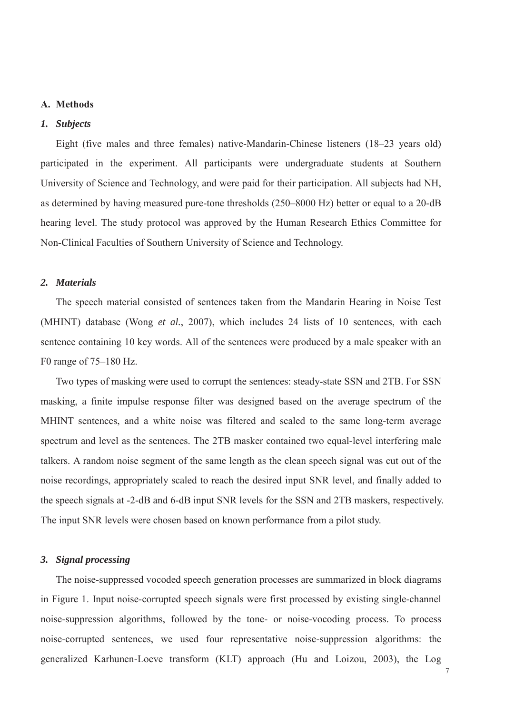### **A. Methods**

### *1. Subjects*

Eight (five males and three females) native-Mandarin-Chinese listeners (18–23 years old) participated in the experiment. All participants were undergraduate students at Southern University of Science and Technology, and were paid for their participation. All subjects had NH, as determined by having measured pure-tone thresholds (250–8000 Hz) better or equal to a 20-dB hearing level. The study protocol was approved by the Human Research Ethics Committee for Non-Clinical Faculties of Southern University of Science and Technology.

### *2. Materials*

The speech material consisted of sentences taken from the Mandarin Hearing in Noise Test (MHINT) database (Wong *et al.*, 2007), which includes 24 lists of 10 sentences, with each sentence containing 10 key words. All of the sentences were produced by a male speaker with an F0 range of 75–180 Hz.

Two types of masking were used to corrupt the sentences: steady-state SSN and 2TB. For SSN masking, a finite impulse response filter was designed based on the average spectrum of the MHINT sentences, and a white noise was filtered and scaled to the same long-term average spectrum and level as the sentences. The 2TB masker contained two equal-level interfering male talkers. A random noise segment of the same length as the clean speech signal was cut out of the noise recordings, appropriately scaled to reach the desired input SNR level, and finally added to the speech signals at -2-dB and 6-dB input SNR levels for the SSN and 2TB maskers, respectively. The input SNR levels were chosen based on known performance from a pilot study.

### *3. Signal processing*

The noise-suppressed vocoded speech generation processes are summarized in block diagrams in Figure 1. Input noise-corrupted speech signals were first processed by existing single-channel noise-suppression algorithms, followed by the tone- or noise-vocoding process. To process noise-corrupted sentences, we used four representative noise-suppression algorithms: the generalized Karhunen-Loeve transform (KLT) approach (Hu and Loizou, 2003), the Log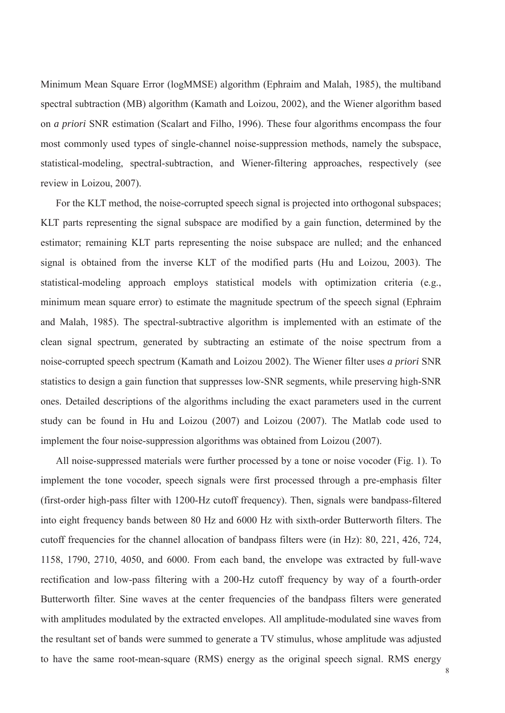Minimum Mean Square Error (logMMSE) algorithm (Ephraim and Malah, 1985), the multiband spectral subtraction (MB) algorithm (Kamath and Loizou, 2002), and the Wiener algorithm based on *a priori* SNR estimation (Scalart and Filho, 1996). These four algorithms encompass the four most commonly used types of single-channel noise-suppression methods, namely the subspace, statistical-modeling, spectral-subtraction, and Wiener-filtering approaches, respectively (see review in Loizou, 2007).

For the KLT method, the noise-corrupted speech signal is projected into orthogonal subspaces; KLT parts representing the signal subspace are modified by a gain function, determined by the estimator; remaining KLT parts representing the noise subspace are nulled; and the enhanced signal is obtained from the inverse KLT of the modified parts (Hu and Loizou, 2003). The statistical-modeling approach employs statistical models with optimization criteria (e.g., minimum mean square error) to estimate the magnitude spectrum of the speech signal (Ephraim and Malah, 1985). The spectral-subtractive algorithm is implemented with an estimate of the clean signal spectrum, generated by subtracting an estimate of the noise spectrum from a noise-corrupted speech spectrum (Kamath and Loizou 2002). The Wiener filter uses *a priori* SNR statistics to design a gain function that suppresses low-SNR segments, while preserving high-SNR ones. Detailed descriptions of the algorithms including the exact parameters used in the current study can be found in Hu and Loizou (2007) and Loizou (2007). The Matlab code used to implement the four noise-suppression algorithms was obtained from Loizou (2007).

All noise-suppressed materials were further processed by a tone or noise vocoder (Fig. 1). To implement the tone vocoder, speech signals were first processed through a pre-emphasis filter (first-order high-pass filter with 1200-Hz cutoff frequency). Then, signals were bandpass-filtered into eight frequency bands between 80 Hz and 6000 Hz with sixth-order Butterworth filters. The cutoff frequencies for the channel allocation of bandpass filters were (in Hz): 80, 221, 426, 724, 1158, 1790, 2710, 4050, and 6000. From each band, the envelope was extracted by full-wave rectification and low-pass filtering with a 200-Hz cutoff frequency by way of a fourth-order Butterworth filter. Sine waves at the center frequencies of the bandpass filters were generated with amplitudes modulated by the extracted envelopes. All amplitude-modulated sine waves from the resultant set of bands were summed to generate a TV stimulus, whose amplitude was adjusted to have the same root-mean-square (RMS) energy as the original speech signal. RMS energy

8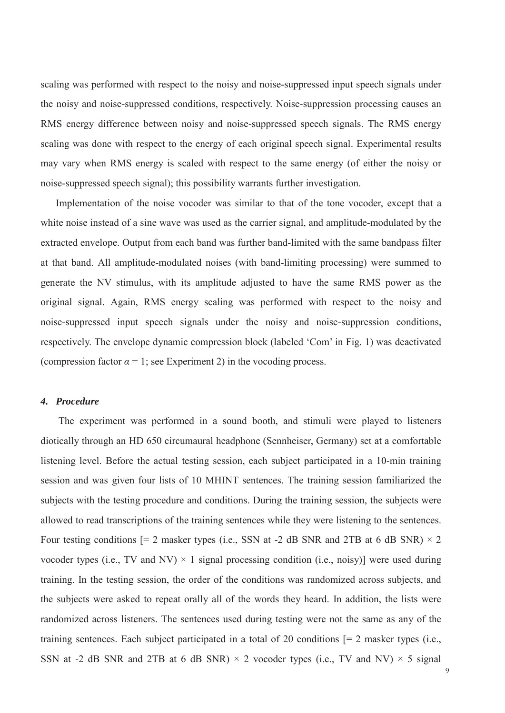scaling was performed with respect to the noisy and noise-suppressed input speech signals under the noisy and noise-suppressed conditions, respectively. Noise-suppression processing causes an RMS energy difference between noisy and noise-suppressed speech signals. The RMS energy scaling was done with respect to the energy of each original speech signal. Experimental results may vary when RMS energy is scaled with respect to the same energy (of either the noisy or noise-suppressed speech signal); this possibility warrants further investigation.

Implementation of the noise vocoder was similar to that of the tone vocoder, except that a white noise instead of a sine wave was used as the carrier signal, and amplitude-modulated by the extracted envelope. Output from each band was further band-limited with the same bandpass filter at that band. All amplitude-modulated noises (with band-limiting processing) were summed to generate the NV stimulus, with its amplitude adjusted to have the same RMS power as the original signal. Again, RMS energy scaling was performed with respect to the noisy and noise-suppressed input speech signals under the noisy and noise-suppression conditions, respectively. The envelope dynamic compression block (labeled 'Com' in Fig. 1) was deactivated (compression factor  $\alpha = 1$ ; see Experiment 2) in the vocoding process.

#### *4. Procedure*

The experiment was performed in a sound booth, and stimuli were played to listeners diotically through an HD 650 circumaural headphone (Sennheiser, Germany) set at a comfortable listening level. Before the actual testing session, each subject participated in a 10-min training session and was given four lists of 10 MHINT sentences. The training session familiarized the subjects with the testing procedure and conditions. During the training session, the subjects were allowed to read transcriptions of the training sentences while they were listening to the sentences. Four testing conditions  $[= 2 \text{ masker types (i.e., SSN at -2 dB SNR and 2TB at 6 dB SNR}) \times 2$ vocoder types (i.e., TV and NV)  $\times$  1 signal processing condition (i.e., noisy)] were used during training. In the testing session, the order of the conditions was randomized across subjects, and the subjects were asked to repeat orally all of the words they heard. In addition, the lists were randomized across listeners. The sentences used during testing were not the same as any of the training sentences. Each subject participated in a total of 20 conditions [= 2 masker types (i.e., SSN at -2 dB SNR and 2TB at 6 dB SNR)  $\times$  2 vocoder types (i.e., TV and NV)  $\times$  5 signal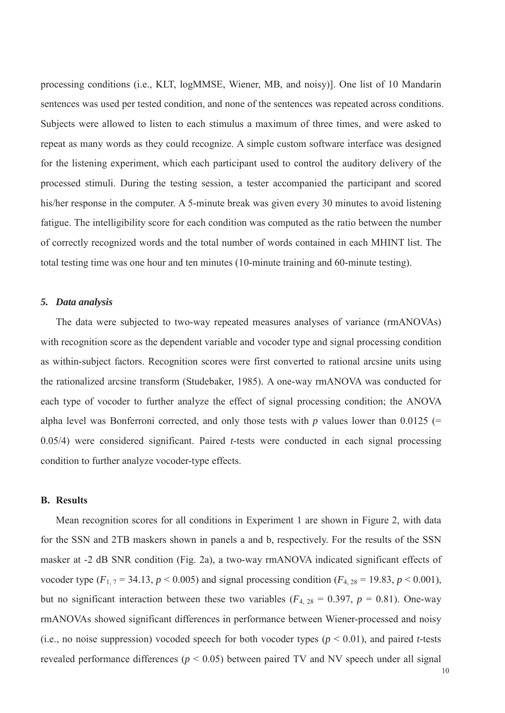processing conditions (i.e., KLT, logMMSE, Wiener, MB, and noisy)]. One list of 10 Mandarin sentences was used per tested condition, and none of the sentences was repeated across conditions. Subjects were allowed to listen to each stimulus a maximum of three times, and were asked to repeat as many words as they could recognize. A simple custom software interface was designed for the listening experiment, which each participant used to control the auditory delivery of the processed stimuli. During the testing session, a tester accompanied the participant and scored his/her response in the computer. A 5-minute break was given every 30 minutes to avoid listening fatigue. The intelligibility score for each condition was computed as the ratio between the number of correctly recognized words and the total number of words contained in each MHINT list. The total testing time was one hour and ten minutes (10-minute training and 60-minute testing).

### *5. Data analysis*

The data were subjected to two-way repeated measures analyses of variance (rmANOVAs) with recognition score as the dependent variable and vocoder type and signal processing condition as within-subject factors. Recognition scores were first converted to rational arcsine units using the rationalized arcsine transform (Studebaker, 1985). A one-way rmANOVA was conducted for each type of vocoder to further analyze the effect of signal processing condition; the ANOVA alpha level was Bonferroni corrected, and only those tests with  $p$  values lower than 0.0125 (= 0.05/4) were considered significant. Paired *t*-tests were conducted in each signal processing condition to further analyze vocoder-type effects.

### **B. Results**

Mean recognition scores for all conditions in Experiment 1 are shown in Figure 2, with data for the SSN and 2TB maskers shown in panels a and b, respectively. For the results of the SSN masker at -2 dB SNR condition (Fig. 2a), a two-way rmANOVA indicated significant effects of vocoder type  $(F_{1, 7} = 34.13, p \le 0.005)$  and signal processing condition  $(F_{4, 28} = 19.83, p \le 0.001)$ , but no significant interaction between these two variables ( $F_{4, 28} = 0.397$ ,  $p = 0.81$ ). One-way rmANOVAs showed significant differences in performance between Wiener-processed and noisy (i.e., no noise suppression) vocoded speech for both vocoder types ( $p < 0.01$ ), and paired *t*-tests revealed performance differences (*p* < 0.05) between paired TV and NV speech under all signal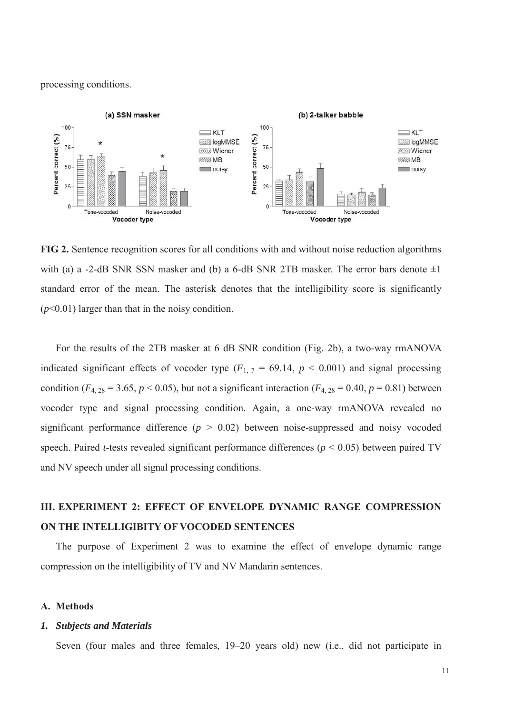processing conditions.



**FIG 2.** Sentence recognition scores for all conditions with and without noise reduction algorithms with (a) a -2-dB SNR SSN masker and (b) a 6-dB SNR 2TB masker. The error bars denote  $\pm 1$ standard error of the mean. The asterisk denotes that the intelligibility score is significantly (*p*<0.01) larger than that in the noisy condition.

For the results of the 2TB masker at 6 dB SNR condition (Fig. 2b), a two-way rmANOVA indicated significant effects of vocoder type  $(F_{1, 7} = 69.14, p < 0.001)$  and signal processing condition ( $F_{4, 28} = 3.65, p < 0.05$ ), but not a significant interaction ( $F_{4, 28} = 0.40, p = 0.81$ ) between vocoder type and signal processing condition. Again, a one-way rmANOVA revealed no significant performance difference  $(p > 0.02)$  between noise-suppressed and noisy vocoded speech. Paired *t*-tests revealed significant performance differences (*p* < 0.05) between paired TV and NV speech under all signal processing conditions.

# **III. EXPERIMENT 2: EFFECT OF ENVELOPE DYNAMIC RANGE COMPRESSION ON THE INTELLIGIBITY OF VOCODED SENTENCES**

The purpose of Experiment 2 was to examine the effect of envelope dynamic range compression on the intelligibility of TV and NV Mandarin sentences.

### **A. Methods**

### *1. Subjects and Materials*

Seven (four males and three females, 19–20 years old) new (i.e., did not participate in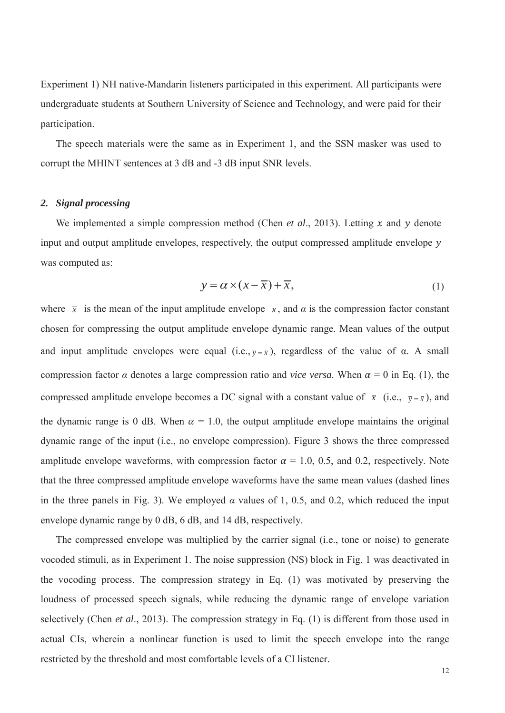Experiment 1) NH native-Mandarin listeners participated in this experiment. All participants were undergraduate students at Southern University of Science and Technology, and were paid for their participation.

The speech materials were the same as in Experiment 1, and the SSN masker was used to corrupt the MHINT sentences at 3 dB and -3 dB input SNR levels.

### *2. Signal processing*

We implemented a simple compression method (Chen *et al.*, 2013). Letting x and y denote input and output amplitude envelopes, respectively, the output compressed amplitude envelope  $y$ was computed as:

$$
y = \alpha \times (x - \overline{x}) + \overline{x}, \tag{1}
$$

where  $\bar{x}$  is the mean of the input amplitude envelope *x*, and *a* is the compression factor constant chosen for compressing the output amplitude envelope dynamic range. Mean values of the output and input amplitude envelopes were equal (i.e.,  $\overline{y} = \overline{x}$ ), regardless of the value of  $\alpha$ . A small compression factor  $\alpha$  denotes a large compression ratio and *vice versa*. When  $\alpha = 0$  in Eq. (1), the compressed amplitude envelope becomes a DC signal with a constant value of  $\bar{x}$  (i.e.,  $\bar{y} = \bar{x}$ ), and the dynamic range is 0 dB. When  $\alpha = 1.0$ , the output amplitude envelope maintains the original dynamic range of the input (i.e., no envelope compression). Figure 3 shows the three compressed amplitude envelope waveforms, with compression factor  $\alpha = 1.0, 0.5$ , and 0.2, respectively. Note that the three compressed amplitude envelope waveforms have the same mean values (dashed lines in the three panels in Fig. 3). We employed  $\alpha$  values of 1, 0.5, and 0.2, which reduced the input envelope dynamic range by 0 dB, 6 dB, and 14 dB, respectively.

The compressed envelope was multiplied by the carrier signal (i.e., tone or noise) to generate vocoded stimuli, as in Experiment 1. The noise suppression (NS) block in Fig. 1 was deactivated in the vocoding process. The compression strategy in Eq. (1) was motivated by preserving the loudness of processed speech signals, while reducing the dynamic range of envelope variation selectively (Chen *et al*., 2013). The compression strategy in Eq. (1) is different from those used in actual CIs, wherein a nonlinear function is used to limit the speech envelope into the range restricted by the threshold and most comfortable levels of a CI listener.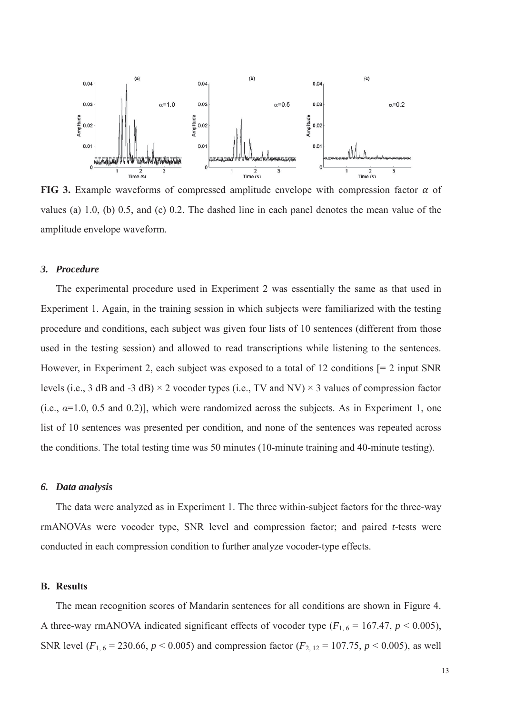

**FIG 3.** Example waveforms of compressed amplitude envelope with compression factor  $\alpha$  of values (a) 1.0, (b) 0.5, and (c) 0.2. The dashed line in each panel denotes the mean value of the amplitude envelope waveform.

### *3. Procedure*

The experimental procedure used in Experiment 2 was essentially the same as that used in Experiment 1. Again, in the training session in which subjects were familiarized with the testing procedure and conditions, each subject was given four lists of 10 sentences (different from those used in the testing session) and allowed to read transcriptions while listening to the sentences. However, in Experiment 2, each subject was exposed to a total of 12 conditions [= 2 input SNR levels (i.e., 3 dB and -3 dB)  $\times$  2 vocoder types (i.e., TV and NV)  $\times$  3 values of compression factor (i.e.,  $\alpha$ =1.0, 0.5 and 0.2)], which were randomized across the subjects. As in Experiment 1, one list of 10 sentences was presented per condition, and none of the sentences was repeated across the conditions. The total testing time was 50 minutes (10-minute training and 40-minute testing).

### *6. Data analysis*

The data were analyzed as in Experiment 1. The three within-subject factors for the three-way rmANOVAs were vocoder type, SNR level and compression factor; and paired *t*-tests were conducted in each compression condition to further analyze vocoder-type effects.

#### **B. Results**

The mean recognition scores of Mandarin sentences for all conditions are shown in Figure 4. A three-way rmANOVA indicated significant effects of vocoder type  $(F_{1,6} = 167.47, p \le 0.005)$ , SNR level ( $F_{1, 6} = 230.66$ ,  $p < 0.005$ ) and compression factor ( $F_{2, 12} = 107.75$ ,  $p < 0.005$ ), as well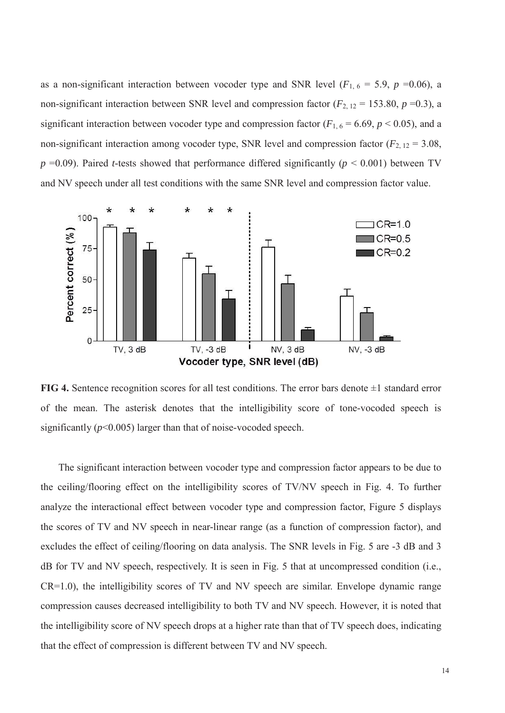as a non-significant interaction between vocoder type and SNR level ( $F_{1, 6} = 5.9$ ,  $p = 0.06$ ), a non-significant interaction between SNR level and compression factor  $(F_{2, 12} = 153.80, p = 0.3)$ , a significant interaction between vocoder type and compression factor  $(F_{1, 6} = 6.69, p \lt 0.05)$ , and a non-significant interaction among vocoder type, SNR level and compression factor  $(F_{2, 12} = 3.08,$  $p = 0.09$ ). Paired *t*-tests showed that performance differed significantly ( $p \le 0.001$ ) between TV and NV speech under all test conditions with the same SNR level and compression factor value.



**FIG 4.** Sentence recognition scores for all test conditions. The error bars denote  $\pm 1$  standard error of the mean. The asterisk denotes that the intelligibility score of tone-vocoded speech is significantly (*p*<0.005) larger than that of noise-vocoded speech.

The significant interaction between vocoder type and compression factor appears to be due to the ceiling/flooring effect on the intelligibility scores of TV/NV speech in Fig. 4. To further analyze the interactional effect between vocoder type and compression factor, Figure 5 displays the scores of TV and NV speech in near-linear range (as a function of compression factor), and excludes the effect of ceiling/flooring on data analysis. The SNR levels in Fig. 5 are -3 dB and 3 dB for TV and NV speech, respectively. It is seen in Fig. 5 that at uncompressed condition (i.e., CR=1.0), the intelligibility scores of TV and NV speech are similar. Envelope dynamic range compression causes decreased intelligibility to both TV and NV speech. However, it is noted that the intelligibility score of NV speech drops at a higher rate than that of TV speech does, indicating that the effect of compression is different between TV and NV speech.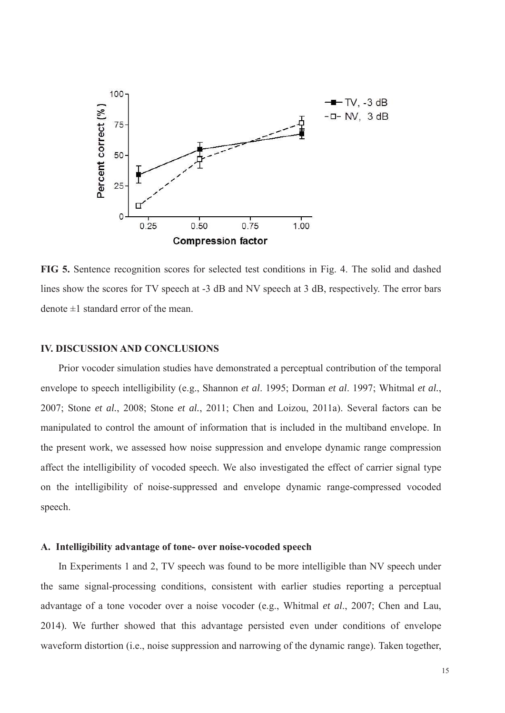

**FIG 5.** Sentence recognition scores for selected test conditions in Fig. 4. The solid and dashed lines show the scores for TV speech at -3 dB and NV speech at 3 dB, respectively. The error bars denote  $\pm 1$  standard error of the mean.

### **IV. DISCUSSION AND CONCLUSIONS**

Prior vocoder simulation studies have demonstrated a perceptual contribution of the temporal envelope to speech intelligibility (e.g., Shannon *et al*. 1995; Dorman *et al*. 1997; Whitmal *et al.*, 2007; Stone *et al.*, 2008; Stone *et al.*, 2011; Chen and Loizou, 2011a). Several factors can be manipulated to control the amount of information that is included in the multiband envelope. In the present work, we assessed how noise suppression and envelope dynamic range compression affect the intelligibility of vocoded speech. We also investigated the effect of carrier signal type on the intelligibility of noise-suppressed and envelope dynamic range-compressed vocoded speech.

### **A. Intelligibility advantage of tone- over noise-vocoded speech**

In Experiments 1 and 2, TV speech was found to be more intelligible than NV speech under the same signal-processing conditions, consistent with earlier studies reporting a perceptual advantage of a tone vocoder over a noise vocoder (e.g., Whitmal *et al*., 2007; Chen and Lau, 2014). We further showed that this advantage persisted even under conditions of envelope waveform distortion (i.e., noise suppression and narrowing of the dynamic range). Taken together,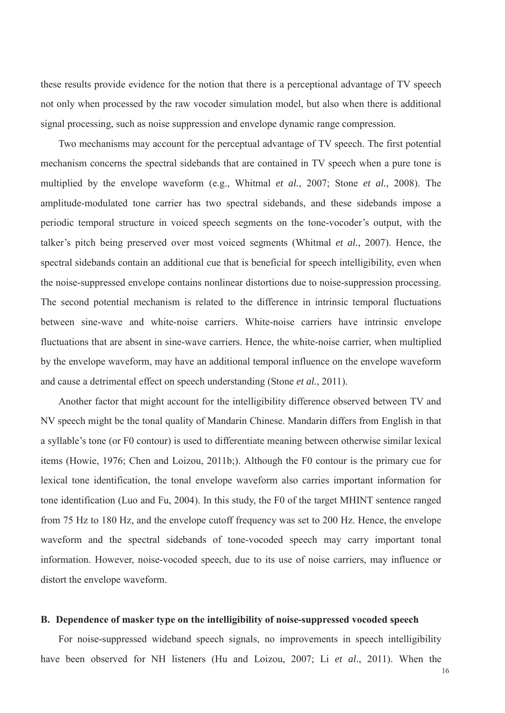these results provide evidence for the notion that there is a perceptional advantage of TV speech not only when processed by the raw vocoder simulation model, but also when there is additional signal processing, such as noise suppression and envelope dynamic range compression.

Two mechanisms may account for the perceptual advantage of TV speech. The first potential mechanism concerns the spectral sidebands that are contained in TV speech when a pure tone is multiplied by the envelope waveform (e.g., Whitmal *et al.*, 2007; Stone *et al.*, 2008). The amplitude-modulated tone carrier has two spectral sidebands, and these sidebands impose a periodic temporal structure in voiced speech segments on the tone-vocoder's output, with the talker's pitch being preserved over most voiced segments (Whitmal *et al.*, 2007). Hence, the spectral sidebands contain an additional cue that is beneficial for speech intelligibility, even when the noise-suppressed envelope contains nonlinear distortions due to noise-suppression processing. The second potential mechanism is related to the difference in intrinsic temporal fluctuations between sine-wave and white-noise carriers. White-noise carriers have intrinsic envelope fluctuations that are absent in sine-wave carriers. Hence, the white-noise carrier, when multiplied by the envelope waveform, may have an additional temporal influence on the envelope waveform and cause a detrimental effect on speech understanding (Stone *et al.*, 2011).

Another factor that might account for the intelligibility difference observed between TV and NV speech might be the tonal quality of Mandarin Chinese. Mandarin differs from English in that a syllable's tone (or F0 contour) is used to differentiate meaning between otherwise similar lexical items (Howie, 1976; Chen and Loizou, 2011b;). Although the F0 contour is the primary cue for lexical tone identification, the tonal envelope waveform also carries important information for tone identification (Luo and Fu, 2004). In this study, the F0 of the target MHINT sentence ranged from 75 Hz to 180 Hz, and the envelope cutoff frequency was set to 200 Hz. Hence, the envelope waveform and the spectral sidebands of tone-vocoded speech may carry important tonal information. However, noise-vocoded speech, due to its use of noise carriers, may influence or distort the envelope waveform.

### **B. Dependence of masker type on the intelligibility of noise-suppressed vocoded speech**

For noise-suppressed wideband speech signals, no improvements in speech intelligibility have been observed for NH listeners (Hu and Loizou, 2007; Li *et al*., 2011). When the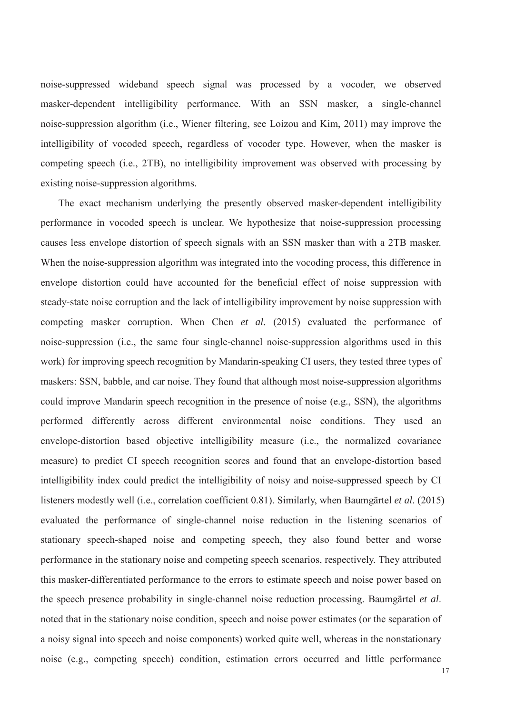noise-suppressed wideband speech signal was processed by a vocoder, we observed masker-dependent intelligibility performance. With an SSN masker, a single-channel noise-suppression algorithm (i.e., Wiener filtering, see Loizou and Kim, 2011) may improve the intelligibility of vocoded speech, regardless of vocoder type. However, when the masker is competing speech (i.e., 2TB), no intelligibility improvement was observed with processing by existing noise-suppression algorithms.

The exact mechanism underlying the presently observed masker-dependent intelligibility performance in vocoded speech is unclear. We hypothesize that noise-suppression processing causes less envelope distortion of speech signals with an SSN masker than with a 2TB masker. When the noise-suppression algorithm was integrated into the vocoding process, this difference in envelope distortion could have accounted for the beneficial effect of noise suppression with steady-state noise corruption and the lack of intelligibility improvement by noise suppression with competing masker corruption. When Chen *et al.* (2015) evaluated the performance of noise-suppression (i.e., the same four single-channel noise-suppression algorithms used in this work) for improving speech recognition by Mandarin-speaking CI users, they tested three types of maskers: SSN, babble, and car noise. They found that although most noise-suppression algorithms could improve Mandarin speech recognition in the presence of noise (e.g., SSN), the algorithms performed differently across different environmental noise conditions. They used an envelope-distortion based objective intelligibility measure (i.e., the normalized covariance measure) to predict CI speech recognition scores and found that an envelope-distortion based intelligibility index could predict the intelligibility of noisy and noise-suppressed speech by CI listeners modestly well (i.e., correlation coefficient 0.81). Similarly, when Baumgärtel *et al*. (2015) evaluated the performance of single-channel noise reduction in the listening scenarios of stationary speech-shaped noise and competing speech, they also found better and worse performance in the stationary noise and competing speech scenarios, respectively. They attributed this masker-differentiated performance to the errors to estimate speech and noise power based on the speech presence probability in single-channel noise reduction processing. Baumgärtel *et al*. noted that in the stationary noise condition, speech and noise power estimates (or the separation of a noisy signal into speech and noise components) worked quite well, whereas in the nonstationary noise (e.g., competing speech) condition, estimation errors occurred and little performance

17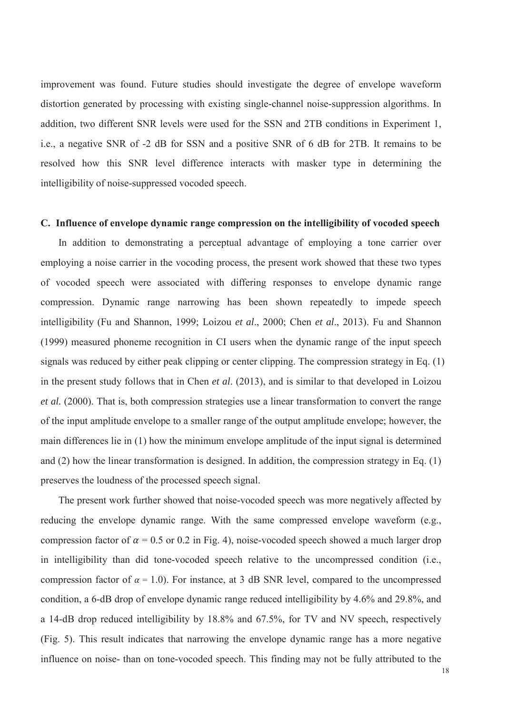improvement was found. Future studies should investigate the degree of envelope waveform distortion generated by processing with existing single-channel noise-suppression algorithms. In addition, two different SNR levels were used for the SSN and 2TB conditions in Experiment 1, i.e., a negative SNR of -2 dB for SSN and a positive SNR of 6 dB for 2TB. It remains to be resolved how this SNR level difference interacts with masker type in determining the intelligibility of noise-suppressed vocoded speech.

### **C. Influence of envelope dynamic range compression on the intelligibility of vocoded speech**

In addition to demonstrating a perceptual advantage of employing a tone carrier over employing a noise carrier in the vocoding process, the present work showed that these two types of vocoded speech were associated with differing responses to envelope dynamic range compression. Dynamic range narrowing has been shown repeatedly to impede speech intelligibility (Fu and Shannon, 1999; Loizou *et al*., 2000; Chen *et al*., 2013). Fu and Shannon (1999) measured phoneme recognition in CI users when the dynamic range of the input speech signals was reduced by either peak clipping or center clipping. The compression strategy in Eq. (1) in the present study follows that in Chen *et al*. (2013), and is similar to that developed in Loizou *et al.* (2000). That is, both compression strategies use a linear transformation to convert the range of the input amplitude envelope to a smaller range of the output amplitude envelope; however, the main differences lie in (1) how the minimum envelope amplitude of the input signal is determined and (2) how the linear transformation is designed. In addition, the compression strategy in Eq. (1) preserves the loudness of the processed speech signal.

The present work further showed that noise-vocoded speech was more negatively affected by reducing the envelope dynamic range. With the same compressed envelope waveform (e.g., compression factor of  $\alpha$  = 0.5 or 0.2 in Fig. 4), noise-vocoded speech showed a much larger drop in intelligibility than did tone-vocoded speech relative to the uncompressed condition (i.e., compression factor of  $\alpha = 1.0$ ). For instance, at 3 dB SNR level, compared to the uncompressed condition, a 6-dB drop of envelope dynamic range reduced intelligibility by 4.6% and 29.8%, and a 14-dB drop reduced intelligibility by 18.8% and 67.5%, for TV and NV speech, respectively (Fig. 5). This result indicates that narrowing the envelope dynamic range has a more negative influence on noise- than on tone-vocoded speech. This finding may not be fully attributed to the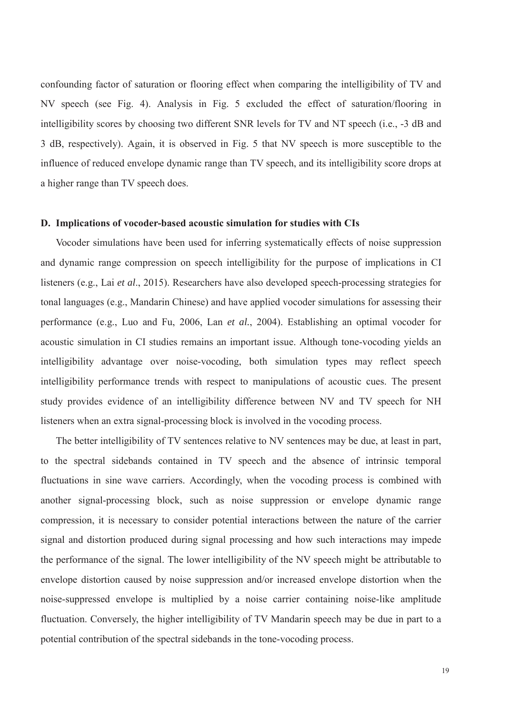confounding factor of saturation or flooring effect when comparing the intelligibility of TV and NV speech (see Fig. 4). Analysis in Fig. 5 excluded the effect of saturation/flooring in intelligibility scores by choosing two different SNR levels for TV and NT speech (i.e., -3 dB and 3 dB, respectively). Again, it is observed in Fig. 5 that NV speech is more susceptible to the influence of reduced envelope dynamic range than TV speech, and its intelligibility score drops at a higher range than TV speech does.

### **D. Implications of vocoder-based acoustic simulation for studies with CIs**

Vocoder simulations have been used for inferring systematically effects of noise suppression and dynamic range compression on speech intelligibility for the purpose of implications in CI listeners (e.g., Lai *et al*., 2015). Researchers have also developed speech-processing strategies for tonal languages (e.g., Mandarin Chinese) and have applied vocoder simulations for assessing their performance (e.g., Luo and Fu, 2006, Lan *et al.*, 2004). Establishing an optimal vocoder for acoustic simulation in CI studies remains an important issue. Although tone-vocoding yields an intelligibility advantage over noise-vocoding, both simulation types may reflect speech intelligibility performance trends with respect to manipulations of acoustic cues. The present study provides evidence of an intelligibility difference between NV and TV speech for NH listeners when an extra signal-processing block is involved in the vocoding process.

The better intelligibility of TV sentences relative to NV sentences may be due, at least in part, to the spectral sidebands contained in TV speech and the absence of intrinsic temporal fluctuations in sine wave carriers. Accordingly, when the vocoding process is combined with another signal-processing block, such as noise suppression or envelope dynamic range compression, it is necessary to consider potential interactions between the nature of the carrier signal and distortion produced during signal processing and how such interactions may impede the performance of the signal. The lower intelligibility of the NV speech might be attributable to envelope distortion caused by noise suppression and/or increased envelope distortion when the noise-suppressed envelope is multiplied by a noise carrier containing noise-like amplitude fluctuation. Conversely, the higher intelligibility of TV Mandarin speech may be due in part to a potential contribution of the spectral sidebands in the tone-vocoding process.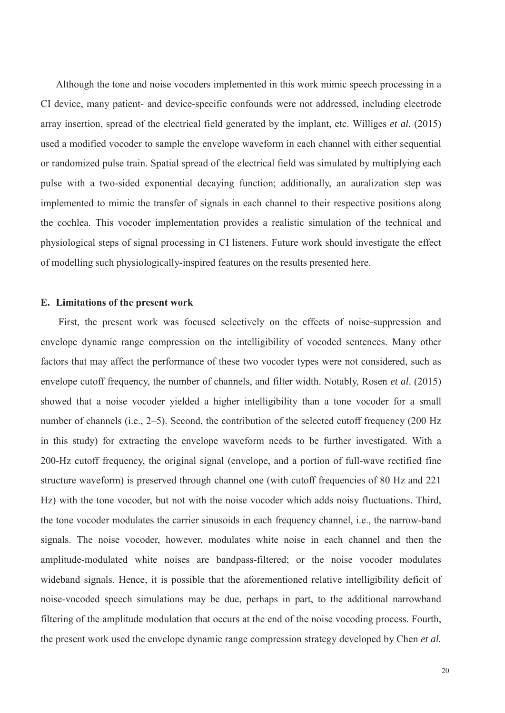Although the tone and noise vocoders implemented in this work mimic speech processing in a CI device, many patient- and device-specific confounds were not addressed, including electrode array insertion, spread of the electrical field generated by the implant, etc. Williges *et al.* (2015) used a modified vocoder to sample the envelope waveform in each channel with either sequential or randomized pulse train. Spatial spread of the electrical field was simulated by multiplying each pulse with a two-sided exponential decaying function; additionally, an auralization step was implemented to mimic the transfer of signals in each channel to their respective positions along the cochlea. This vocoder implementation provides a realistic simulation of the technical and physiological steps of signal processing in CI listeners. Future work should investigate the effect of modelling such physiologically-inspired features on the results presented here.

### **E. Limitations of the present work**

First, the present work was focused selectively on the effects of noise-suppression and envelope dynamic range compression on the intelligibility of vocoded sentences. Many other factors that may affect the performance of these two vocoder types were not considered, such as envelope cutoff frequency, the number of channels, and filter width. Notably, Rosen *et al*. (2015) showed that a noise vocoder yielded a higher intelligibility than a tone vocoder for a small number of channels (i.e., 2–5). Second, the contribution of the selected cutoff frequency (200 Hz in this study) for extracting the envelope waveform needs to be further investigated. With a 200-Hz cutoff frequency, the original signal (envelope, and a portion of full-wave rectified fine structure waveform) is preserved through channel one (with cutoff frequencies of 80 Hz and 221 Hz) with the tone vocoder, but not with the noise vocoder which adds noisy fluctuations. Third, the tone vocoder modulates the carrier sinusoids in each frequency channel, i.e., the narrow-band signals. The noise vocoder, however, modulates white noise in each channel and then the amplitude-modulated white noises are bandpass-filtered; or the noise vocoder modulates wideband signals. Hence, it is possible that the aforementioned relative intelligibility deficit of noise-vocoded speech simulations may be due, perhaps in part, to the additional narrowband filtering of the amplitude modulation that occurs at the end of the noise vocoding process. Fourth, the present work used the envelope dynamic range compression strategy developed by Chen *et al.*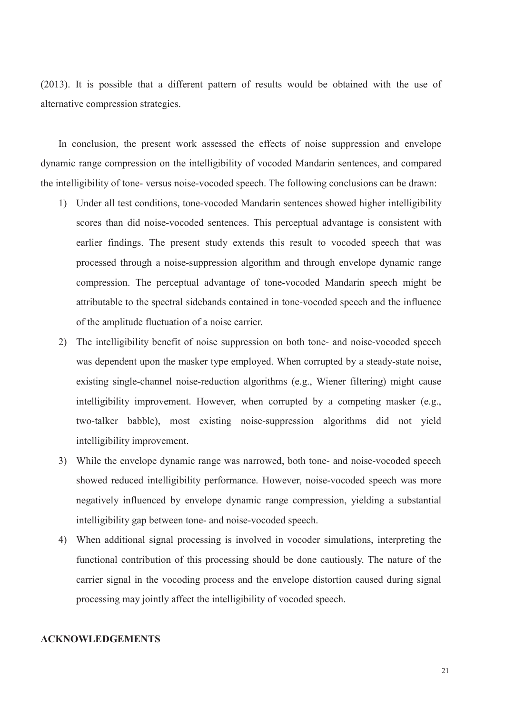(2013). It is possible that a different pattern of results would be obtained with the use of alternative compression strategies.

In conclusion, the present work assessed the effects of noise suppression and envelope dynamic range compression on the intelligibility of vocoded Mandarin sentences, and compared the intelligibility of tone- versus noise-vocoded speech. The following conclusions can be drawn:

- 1) Under all test conditions, tone-vocoded Mandarin sentences showed higher intelligibility scores than did noise-vocoded sentences. This perceptual advantage is consistent with earlier findings. The present study extends this result to vocoded speech that was processed through a noise-suppression algorithm and through envelope dynamic range compression. The perceptual advantage of tone-vocoded Mandarin speech might be attributable to the spectral sidebands contained in tone-vocoded speech and the influence of the amplitude fluctuation of a noise carrier.
- 2) The intelligibility benefit of noise suppression on both tone- and noise-vocoded speech was dependent upon the masker type employed. When corrupted by a steady-state noise, existing single-channel noise-reduction algorithms (e.g., Wiener filtering) might cause intelligibility improvement. However, when corrupted by a competing masker (e.g., two-talker babble), most existing noise-suppression algorithms did not yield intelligibility improvement.
- 3) While the envelope dynamic range was narrowed, both tone- and noise-vocoded speech showed reduced intelligibility performance. However, noise-vocoded speech was more negatively influenced by envelope dynamic range compression, yielding a substantial intelligibility gap between tone- and noise-vocoded speech.
- 4) When additional signal processing is involved in vocoder simulations, interpreting the functional contribution of this processing should be done cautiously. The nature of the carrier signal in the vocoding process and the envelope distortion caused during signal processing may jointly affect the intelligibility of vocoded speech.

### **ACKNOWLEDGEMENTS**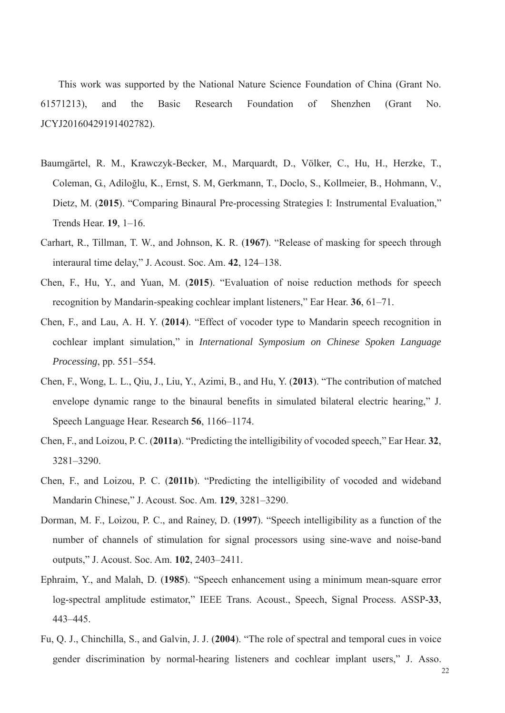This work was supported by the National Nature Science Foundation of China (Grant No. 61571213), and the Basic Research Foundation of Shenzhen (Grant No. JCYJ20160429191402782).

- Baumgärtel, R. M., Krawczyk-Becker, M., Marquardt, D., Völker, C., Hu, H., Herzke, T., Coleman, G., Adiloğlu, K., Ernst, S. M, Gerkmann, T., Doclo, S., Kollmeier, B., Hohmann, V., Dietz, M. (**2015**). "Comparing Binaural Pre-processing Strategies I: Instrumental Evaluation," Trends Hear. **19**, 1–16.
- Carhart, R., Tillman, T. W., and Johnson, K. R. (**1967**). "Release of masking for speech through interaural time delay," J. Acoust. Soc. Am. **42**, 124–138.
- Chen, F., Hu, Y., and Yuan, M. (**2015**). "Evaluation of noise reduction methods for speech recognition by Mandarin-speaking cochlear implant listeners," Ear Hear. **36**, 61–71.
- Chen, F., and Lau, A. H. Y. (**2014**). "Effect of vocoder type to Mandarin speech recognition in cochlear implant simulation," in *International Symposium on Chinese Spoken Language Processing*, pp. 551–554.
- Chen, F., Wong, L. L., Qiu, J., Liu, Y., Azimi, B., and Hu, Y. (**2013**). "The contribution of matched envelope dynamic range to the binaural benefits in simulated bilateral electric hearing," J. Speech Language Hear. Research **56**, 1166–1174.
- Chen, F., and Loizou, P. C. (**2011a**). "Predicting the intelligibility of vocoded speech," Ear Hear. **32**, 3281–3290.
- Chen, F., and Loizou, P. C. (**2011b**). "Predicting the intelligibility of vocoded and wideband Mandarin Chinese," J. Acoust. Soc. Am. **129**, 3281–3290.
- Dorman, M. F., Loizou, P. C., and Rainey, D. (**1997**). "Speech intelligibility as a function of the number of channels of stimulation for signal processors using sine-wave and noise-band outputs," J. Acoust. Soc. Am. **102**, 2403–2411.
- Ephraim, Y., and Malah, D. (**1985**). "Speech enhancement using a minimum mean-square error log-spectral amplitude estimator," IEEE Trans. Acoust., Speech, Signal Process. ASSP-**33**, 443–445.
- Fu, Q. J., Chinchilla, S., and Galvin, J. J. (**2004**). "The role of spectral and temporal cues in voice gender discrimination by normal-hearing listeners and cochlear implant users," J. Asso.

22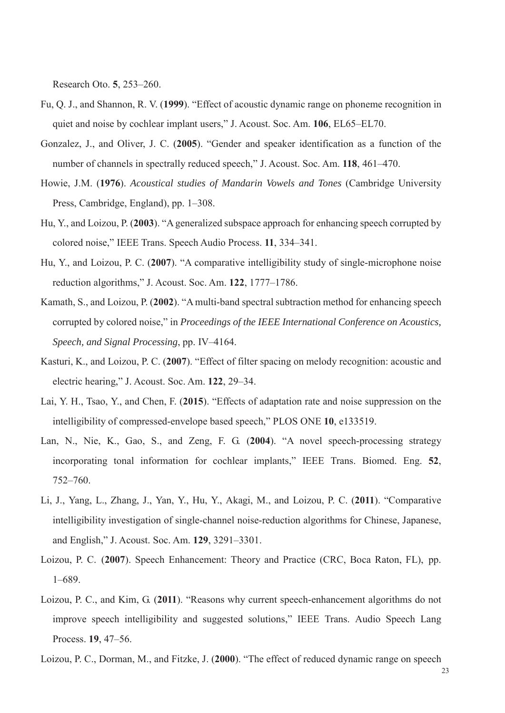Research Oto. **5**, 253–260.

- Fu, Q. J., and Shannon, R. V. (**1999**). "Effect of acoustic dynamic range on phoneme recognition in quiet and noise by cochlear implant users," J. Acoust. Soc. Am. **106**, EL65–EL70.
- Gonzalez, J., and Oliver, J. C. (**2005**). "Gender and speaker identification as a function of the number of channels in spectrally reduced speech," J. Acoust. Soc. Am. **118**, 461–470.
- Howie, J.M. (**1976**). *Acoustical studies of Mandarin Vowels and Tones* (Cambridge University Press, Cambridge, England), pp. 1–308.
- Hu, Y., and Loizou, P. (**2003**). "A generalized subspace approach for enhancing speech corrupted by colored noise," IEEE Trans. Speech Audio Process. **11**, 334–341.
- Hu, Y., and Loizou, P. C. (**2007**). "A comparative intelligibility study of single-microphone noise reduction algorithms," J. Acoust. Soc. Am. **122**, 1777–1786.
- Kamath, S., and Loizou, P. (**2002**). "A multi-band spectral subtraction method for enhancing speech corrupted by colored noise," in *Proceedings of the IEEE International Conference on Acoustics, Speech, and Signal Processing*, pp. IV–4164.
- Kasturi, K., and Loizou, P. C. (**2007**). "Effect of filter spacing on melody recognition: acoustic and electric hearing," J. Acoust. Soc. Am. **122**, 29–34.
- Lai, Y. H., Tsao, Y., and Chen, F. (**2015**). "Effects of adaptation rate and noise suppression on the intelligibility of compressed-envelope based speech," PLOS ONE **10**, e133519.
- Lan, N., Nie, K., Gao, S., and Zeng, F. G. (**2004**). "A novel speech-processing strategy incorporating tonal information for cochlear implants," IEEE Trans. Biomed. Eng. **52**, 752–760.
- Li, J., Yang, L., Zhang, J., Yan, Y., Hu, Y., Akagi, M., and Loizou, P. C. (**2011**). "Comparative intelligibility investigation of single-channel noise-reduction algorithms for Chinese, Japanese, and English," J. Acoust. Soc. Am. **129**, 3291–3301.
- Loizou, P. C. (**2007**). Speech Enhancement: Theory and Practice (CRC, Boca Raton, FL), pp. 1–689.
- Loizou, P. C., and Kim, G. (**2011**). "Reasons why current speech-enhancement algorithms do not improve speech intelligibility and suggested solutions," IEEE Trans. Audio Speech Lang Process. **19**, 47–56.
- Loizou, P. C., Dorman, M., and Fitzke, J. (**2000**). "The effect of reduced dynamic range on speech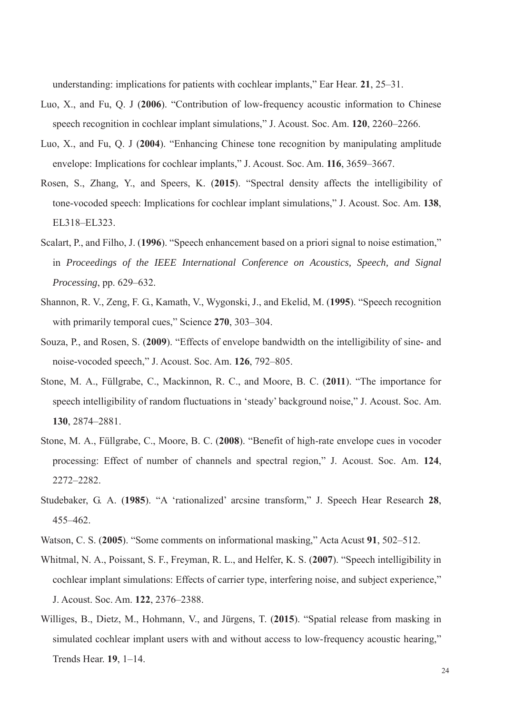understanding: implications for patients with cochlear implants," Ear Hear. **21**, 25–31.

- Luo, X., and Fu, Q. J (**2006**). "Contribution of low-frequency acoustic information to Chinese speech recognition in cochlear implant simulations," J. Acoust. Soc. Am. **120**, 2260–2266.
- Luo, X., and Fu, Q. J (**2004**). "Enhancing Chinese tone recognition by manipulating amplitude envelope: Implications for cochlear implants," J. Acoust. Soc. Am. **116**, 3659–3667.
- Rosen, S., Zhang, Y., and Speers, K. (**2015**). "Spectral density affects the intelligibility of tone-vocoded speech: Implications for cochlear implant simulations," J. Acoust. Soc. Am. **138**, EL318–EL323.
- Scalart, P., and Filho, J. (**1996**). "Speech enhancement based on a priori signal to noise estimation," in *Proceedings of the IEEE International Conference on Acoustics, Speech, and Signal Processing*, pp. 629–632.
- Shannon, R. V., Zeng, F. G., Kamath, V., Wygonski, J., and Ekelid, M. (**1995**). "Speech recognition with primarily temporal cues," Science **270**, 303–304.
- Souza, P., and Rosen, S. (**2009**). "Effects of envelope bandwidth on the intelligibility of sine- and noise-vocoded speech," J. Acoust. Soc. Am. **126**, 792–805.
- Stone, M. A., Füllgrabe, C., Mackinnon, R. C., and Moore, B. C. (**2011**). "The importance for speech intelligibility of random fluctuations in 'steady' background noise," J. Acoust. Soc. Am. **130**, 2874–2881.
- Stone, M. A., Füllgrabe, C., Moore, B. C. (**2008**). "Benefit of high-rate envelope cues in vocoder processing: Effect of number of channels and spectral region," J. Acoust. Soc. Am. **124**, 2272–2282.
- Studebaker, G. A. (**1985**). "A 'rationalized' arcsine transform," J. Speech Hear Research **28**, 455–462.
- Watson, C. S. (**2005**). "Some comments on informational masking," Acta Acust **91**, 502–512.
- Whitmal, N. A., Poissant, S. F., Freyman, R. L., and Helfer, K. S. (**2007**). "Speech intelligibility in cochlear implant simulations: Effects of carrier type, interfering noise, and subject experience," J. Acoust. Soc. Am. **122**, 2376–2388.
- Williges, B., Dietz, M., Hohmann, V., and Jürgens, T. (**2015**). "Spatial release from masking in simulated cochlear implant users with and without access to low-frequency acoustic hearing," Trends Hear. **19**, 1–14.